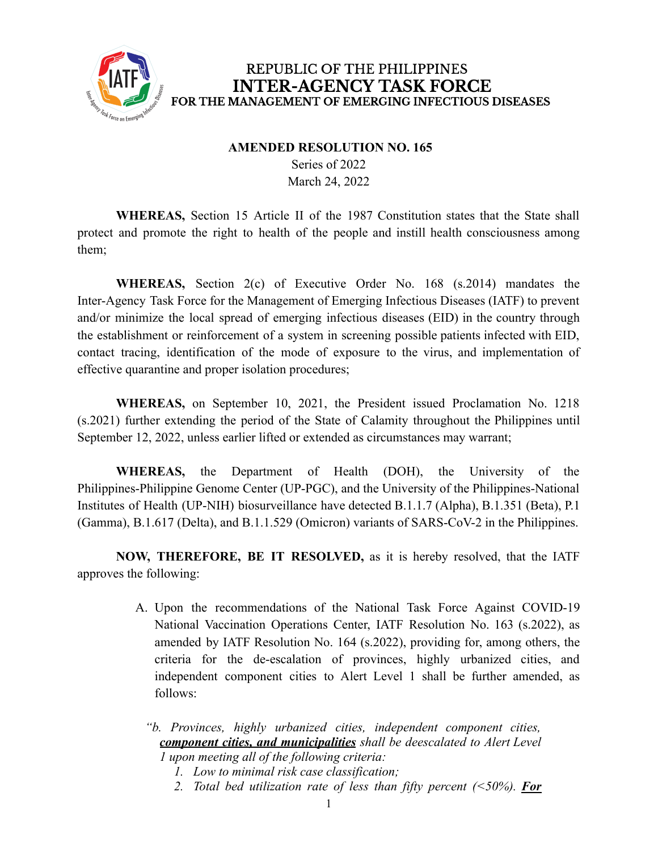

## REPUBLIC OF THE PHILIPPINES **INTER-AGENCY TASK FORCE** FOR THE MANAGEMENT OF EMERGING INFECTIOUS DISEASES

## **AMENDED RESOLUTION NO. 165** Series of 2022 March 24, 2022

**WHEREAS,** Section 15 Article II of the 1987 Constitution states that the State shall protect and promote the right to health of the people and instill health consciousness among them;

**WHEREAS,** Section 2(c) of Executive Order No. 168 (s.2014) mandates the Inter-Agency Task Force for the Management of Emerging Infectious Diseases (IATF) to prevent and/or minimize the local spread of emerging infectious diseases (EID) in the country through the establishment or reinforcement of a system in screening possible patients infected with EID, contact tracing, identification of the mode of exposure to the virus, and implementation of effective quarantine and proper isolation procedures;

**WHEREAS,** on September 10, 2021, the President issued Proclamation No. 1218 (s.2021) further extending the period of the State of Calamity throughout the Philippines until September 12, 2022, unless earlier lifted or extended as circumstances may warrant;

**WHEREAS,** the Department of Health (DOH), the University of the Philippines-Philippine Genome Center (UP-PGC), and the University of the Philippines-National Institutes of Health (UP-NIH) biosurveillance have detected B.1.1.7 (Alpha), B.1.351 (Beta), P.1 (Gamma), B.1.617 (Delta), and B.1.1.529 (Omicron) variants of SARS-CoV-2 in the Philippines.

**NOW, THEREFORE, BE IT RESOLVED,** as it is hereby resolved, that the IATF approves the following:

- A. Upon the recommendations of the National Task Force Against COVID-19 National Vaccination Operations Center, IATF Resolution No. 163 (s.2022), as amended by IATF Resolution No. 164 (s.2022), providing for, among others, the criteria for the de-escalation of provinces, highly urbanized cities, and independent component cities to Alert Level 1 shall be further amended, as follows:
	- *"b. Provinces, highly urbanized cities, independent component cities, component cities, and municipalities shall be deescalated to Alert Level 1 upon meeting all of the following criteria:*
		- *1. Low to minimal risk case classification;*
		- *2. Total bed utilization rate of less than fifty percent (<50%). For*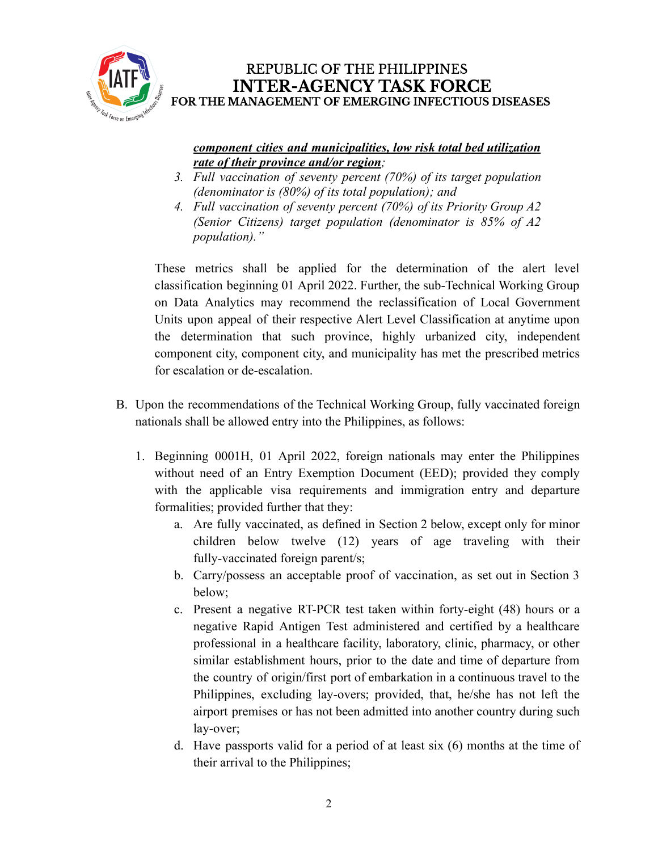

#### *component cities and municipalities, low risk total bed utilization rate of their province and/or region;*

- *3. Full vaccination of seventy percent (70%) of its target population (denominator is (80%) of its total population); and*
- *4. Full vaccination of seventy percent (70%) of its Priority Group A2 (Senior Citizens) target population (denominator is 85% of A2 population)."*

These metrics shall be applied for the determination of the alert level classification beginning 01 April 2022. Further, the sub-Technical Working Group on Data Analytics may recommend the reclassification of Local Government Units upon appeal of their respective Alert Level Classification at anytime upon the determination that such province, highly urbanized city, independent component city, component city, and municipality has met the prescribed metrics for escalation or de-escalation.

- B. Upon the recommendations of the Technical Working Group, fully vaccinated foreign nationals shall be allowed entry into the Philippines, as follows:
	- 1. Beginning 0001H, 01 April 2022, foreign nationals may enter the Philippines without need of an Entry Exemption Document (EED); provided they comply with the applicable visa requirements and immigration entry and departure formalities; provided further that they:
		- a. Are fully vaccinated, as defined in Section 2 below, except only for minor children below twelve (12) years of age traveling with their fully-vaccinated foreign parent/s;
		- b. Carry/possess an acceptable proof of vaccination, as set out in Section 3 below;
		- c. Present a negative RT-PCR test taken within forty-eight (48) hours or a negative Rapid Antigen Test administered and certified by a healthcare professional in a healthcare facility, laboratory, clinic, pharmacy, or other similar establishment hours, prior to the date and time of departure from the country of origin/first port of embarkation in a continuous travel to the Philippines, excluding lay-overs; provided, that, he/she has not left the airport premises or has not been admitted into another country during such lay-over;
		- d. Have passports valid for a period of at least six (6) months at the time of their arrival to the Philippines;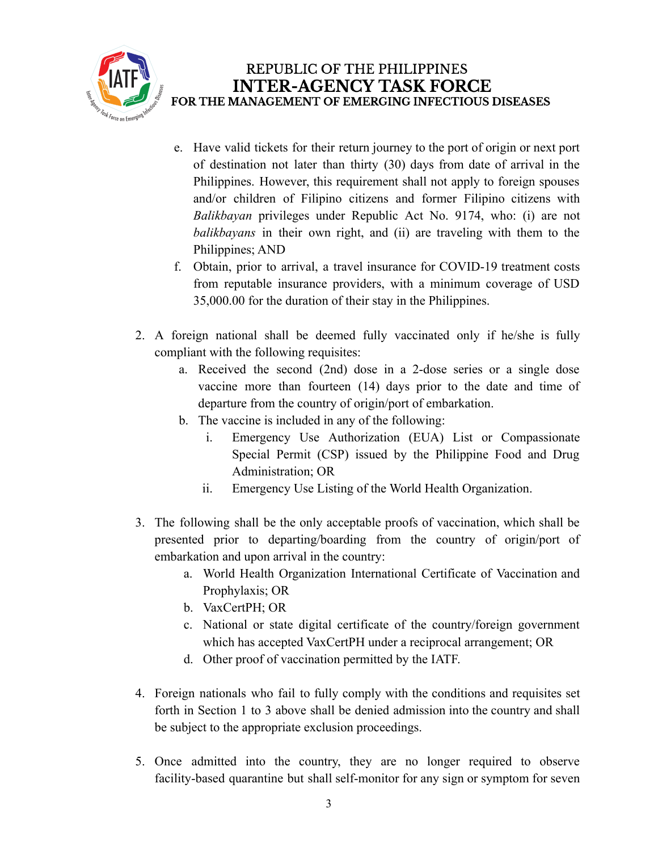

- e. Have valid tickets for their return journey to the port of origin or next port of destination not later than thirty (30) days from date of arrival in the Philippines. However, this requirement shall not apply to foreign spouses and/or children of Filipino citizens and former Filipino citizens with *Balikbayan* privileges under Republic Act No. 9174, who: (i) are not *balikbayans* in their own right, and (ii) are traveling with them to the Philippines; AND
- f. Obtain, prior to arrival, a travel insurance for COVID-19 treatment costs from reputable insurance providers, with a minimum coverage of USD 35,000.00 for the duration of their stay in the Philippines.
- 2. A foreign national shall be deemed fully vaccinated only if he/she is fully compliant with the following requisites:
	- a. Received the second (2nd) dose in a 2-dose series or a single dose vaccine more than fourteen (14) days prior to the date and time of departure from the country of origin/port of embarkation.
	- b. The vaccine is included in any of the following:
		- i. Emergency Use Authorization (EUA) List or Compassionate Special Permit (CSP) issued by the Philippine Food and Drug Administration; OR
		- ii. Emergency Use Listing of the World Health Organization.
- 3. The following shall be the only acceptable proofs of vaccination, which shall be presented prior to departing/boarding from the country of origin/port of embarkation and upon arrival in the country:
	- a. World Health Organization International Certificate of Vaccination and Prophylaxis; OR
	- b. VaxCertPH; OR
	- c. National or state digital certificate of the country/foreign government which has accepted VaxCertPH under a reciprocal arrangement; OR
	- d. Other proof of vaccination permitted by the IATF.
- 4. Foreign nationals who fail to fully comply with the conditions and requisites set forth in Section 1 to 3 above shall be denied admission into the country and shall be subject to the appropriate exclusion proceedings.
- 5. Once admitted into the country, they are no longer required to observe facility-based quarantine but shall self-monitor for any sign or symptom for seven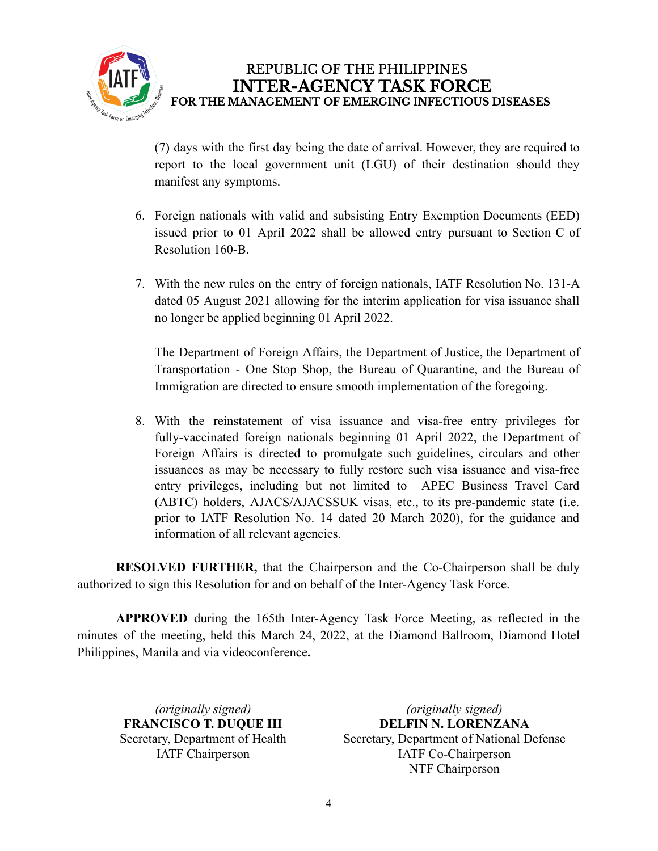

## REPUBLIC OF THE PHILIPPINES **INTER-AGENCY TASK FORCE** FOR THE MANAGEMENT OF EMERGING INFECTIOUS DISEASES

(7) days with the first day being the date of arrival. However, they are required to report to the local government unit (LGU) of their destination should they manifest any symptoms.

- 6. Foreign nationals with valid and subsisting Entry Exemption Documents (EED) issued prior to 01 April 2022 shall be allowed entry pursuant to Section C of Resolution 160-B.
- 7. With the new rules on the entry of foreign nationals, IATF Resolution No. 131-A dated 05 August 2021 allowing for the interim application for visa issuance shall no longer be applied beginning 01 April 2022.

The Department of Foreign Affairs, the Department of Justice, the Department of Transportation - One Stop Shop, the Bureau of Quarantine, and the Bureau of Immigration are directed to ensure smooth implementation of the foregoing.

8. With the reinstatement of visa issuance and visa-free entry privileges for fully-vaccinated foreign nationals beginning 01 April 2022, the Department of Foreign Affairs is directed to promulgate such guidelines, circulars and other issuances as may be necessary to fully restore such visa issuance and visa-free entry privileges, including but not limited to APEC Business Travel Card (ABTC) holders, AJACS/AJACSSUK visas, etc., to its pre-pandemic state (i.e. prior to IATF Resolution No. 14 dated 20 March 2020), for the guidance and information of all relevant agencies.

**RESOLVED FURTHER,** that the Chairperson and the Co-Chairperson shall be duly authorized to sign this Resolution for and on behalf of the Inter-Agency Task Force.

**APPROVED** during the 165th Inter-Agency Task Force Meeting, as reflected in the minutes of the meeting, held this March 24, 2022, at the Diamond Ballroom, Diamond Hotel Philippines, Manila and via videoconference**.**

*(originally signed)* **FRANCISCO T. DUQUE III** Secretary, Department of Health IATF Chairperson

*(originally signed)* **DELFIN N. LORENZANA** Secretary, Department of National Defense IATF Co-Chairperson NTF Chairperson